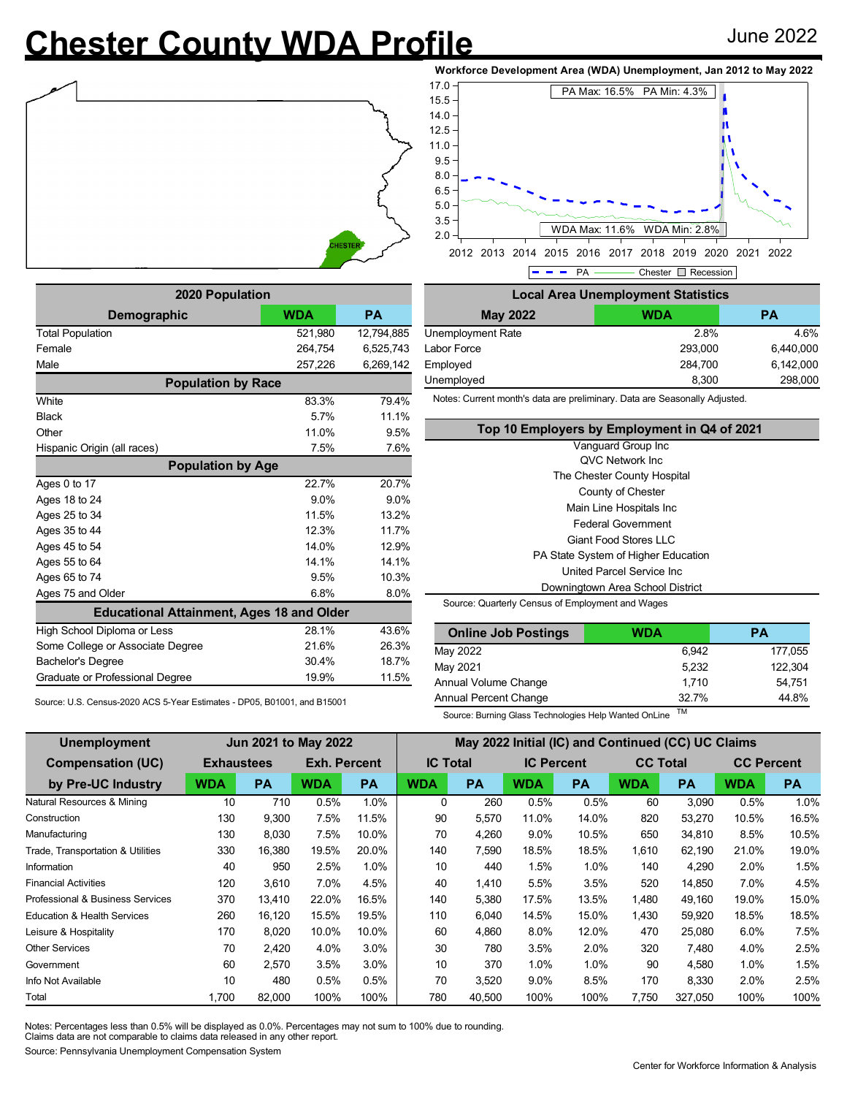## **Chester County WDA Profile** June 2022







**2020 Population Demographic WDA PA** Total Population 621,980 12,794,885 Female 264,754 6,525,743 Male 257,226 6,269,142 **Population by Race** White 2012 2013 2020 2021 2022 2031 2040 2051 2052 2062 2079 2080 2091 2092 2093 2094 2095 2096 2097 2098 2097 20 Black 5.7% 11.1% Other 9.5% Hispanic Origin (all races) 7.5% 7.6% **Population by Age** Ages 0 to 17 22.7% 20.7% Ages 18 to 24 9.0% 9.0% Ages 25 to 34 11.5% 13.2% Ages 35 to 44 12.3% 11.7% Ages 45 to 54 12.9% Ages 55 to 64 14.1% 14.1% Ages 65 to 74 200 10.3% Ages 75 and Older 6.8% 8.0% **Educational Attainment, Ages 18 and Older** High School Diploma or Less 28.1% 28.1% 43.6% Some College or Associate Degree 21.6% 26.3% Bachelor's Degree 30.4% 18.7% Graduate or Professional Degree 19.9% 11.5%

Source: U.S. Census-2020 ACS 5-Year Estimates - DP05, B01001, and B15001

- PA - Chester **Recession Local Area Unemployment Statistics May 2022 WDA PA** Unemployment Rate 2.8% 4.6% Labor Force 293,000 6,440,000 Employed 284,700 6,142,000 Unemployed 298,000 298,000

Notes: Current month's data are preliminary. Data are Seasonally Adjusted.

| Top 10 Employers by Employment in Q4 of 2021     |
|--------------------------------------------------|
| Vanguard Group Inc                               |
| <b>QVC Network Inc.</b>                          |
| The Chester County Hospital                      |
| County of Chester                                |
| Main Line Hospitals Inc                          |
| <b>Federal Government</b>                        |
| Giant Food Stores II C                           |
| PA State System of Higher Education              |
| United Parcel Service Inc.                       |
| Downingtown Area School District                 |
| Source: Quarterly Census of Employment and Wages |

| <b>Cource.</b> Quarterly Ochous of Employment and Wages |  |
|---------------------------------------------------------|--|
|                                                         |  |
|                                                         |  |

| <b>Online Job Postings</b> | <b>WDA</b> | PА      |
|----------------------------|------------|---------|
| May 2022                   | 6.942      | 177,055 |
| May 2021                   | 5.232      | 122.304 |
| Annual Volume Change       | 1.710      | 54.751  |
| Annual Percent Change      | 32.7%      | 44.8%   |

Source: Burning Glass Technologies Help Wanted OnLine TM

| Unemployment                           | <b>Jun 2021 to May 2022</b> |           |                     |           | May 2022 Initial (IC) and Continued (CC) UC Claims |           |                   |           |                 |           |                   |           |
|----------------------------------------|-----------------------------|-----------|---------------------|-----------|----------------------------------------------------|-----------|-------------------|-----------|-----------------|-----------|-------------------|-----------|
| <b>Compensation (UC)</b>               | <b>Exhaustees</b>           |           | <b>Exh. Percent</b> |           | <b>IC Total</b>                                    |           | <b>IC Percent</b> |           | <b>CC Total</b> |           | <b>CC Percent</b> |           |
| by Pre-UC Industry                     | <b>WDA</b>                  | <b>PA</b> | <b>WDA</b>          | <b>PA</b> | <b>WDA</b>                                         | <b>PA</b> | <b>WDA</b>        | <b>PA</b> | <b>WDA</b>      | <b>PA</b> | <b>WDA</b>        | <b>PA</b> |
| Natural Resources & Mining             | 10                          | 710       | 0.5%                | 1.0%      | $\mathbf{0}$                                       | 260       | 0.5%              | 0.5%      | 60              | 3,090     | 0.5%              | $1.0\%$   |
| Construction                           | 130                         | 9,300     | 7.5%                | 11.5%     | 90                                                 | 5,570     | 11.0%             | 14.0%     | 820             | 53,270    | 10.5%             | 16.5%     |
| Manufacturing                          | 130                         | 8,030     | 7.5%                | 10.0%     | 70                                                 | 4,260     | $9.0\%$           | 10.5%     | 650             | 34,810    | 8.5%              | 10.5%     |
| Trade, Transportation & Utilities      | 330                         | 16,380    | 19.5%               | 20.0%     | 140                                                | 7,590     | 18.5%             | 18.5%     | 1,610           | 62,190    | 21.0%             | 19.0%     |
| Information                            | 40                          | 950       | 2.5%                | 1.0%      | 10                                                 | 440       | 1.5%              | $1.0\%$   | 140             | 4,290     | 2.0%              | 1.5%      |
| <b>Financial Activities</b>            | 120                         | 3.610     | 7.0%                | 4.5%      | 40                                                 | 1.410     | 5.5%              | 3.5%      | 520             | 14,850    | 7.0%              | 4.5%      |
| Professional & Business Services       | 370                         | 13,410    | 22.0%               | 16.5%     | 140                                                | 5,380     | 17.5%             | 13.5%     | 1,480           | 49,160    | 19.0%             | 15.0%     |
| <b>Education &amp; Health Services</b> | 260                         | 16,120    | 15.5%               | 19.5%     | 110                                                | 6,040     | 14.5%             | 15.0%     | 1.430           | 59,920    | 18.5%             | 18.5%     |
| Leisure & Hospitality                  | 170                         | 8,020     | 10.0%               | 10.0%     | 60                                                 | 4.860     | $8.0\%$           | 12.0%     | 470             | 25,080    | 6.0%              | 7.5%      |
| <b>Other Services</b>                  | 70                          | 2,420     | 4.0%                | 3.0%      | 30                                                 | 780       | 3.5%              | 2.0%      | 320             | 7,480     | 4.0%              | 2.5%      |
| Government                             | 60                          | 2,570     | 3.5%                | 3.0%      | 10                                                 | 370       | 1.0%              | $1.0\%$   | 90              | 4,580     | 1.0%              | 1.5%      |
| Info Not Available                     | 10                          | 480       | 0.5%                | 0.5%      | 70                                                 | 3,520     | $9.0\%$           | 8.5%      | 170             | 8,330     | 2.0%              | 2.5%      |
| Total                                  | 1.700                       | 82,000    | 100%                | 100%      | 780                                                | 40.500    | 100%              | 100%      | 7.750           | 327,050   | 100%              | 100%      |

Notes: Percentages less than 0.5% will be displayed as 0.0%. Percentages may not sum to 100% due to rounding. Claims data are not comparable to claims data released in any other report.

Source: Pennsylvania Unemployment Compensation System